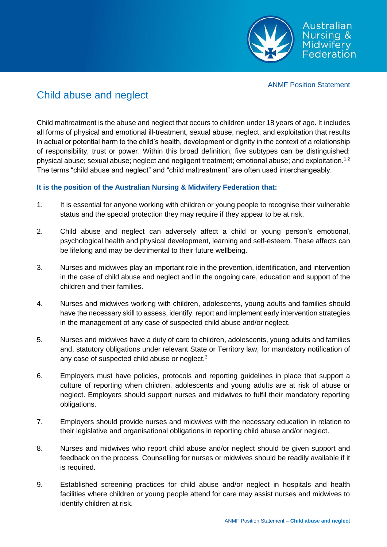

ANMF Position Statement

## Child abuse and neglect

Child maltreatment is the abuse and neglect that occurs to children under 18 years of age. It includes all forms of physical and emotional ill-treatment, sexual abuse, neglect, and exploitation that results in actual or potential harm to the child's health, development or dignity in the context of a relationship of responsibility, trust or power. Within this broad definition, five subtypes can be distinguished: physical abuse; sexual abuse; neglect and negligent treatment; emotional abuse; and exploitation.1,2 The terms "child abuse and neglect" and "child maltreatment" are often used interchangeably.

## **It is the position of the Australian Nursing & Midwifery Federation that:**

- 1. It is essential for anyone working with children or young people to recognise their vulnerable status and the special protection they may require if they appear to be at risk.
- 2. Child abuse and neglect can adversely affect a child or young person's emotional, psychological health and physical development, learning and self-esteem. These affects can be lifelong and may be detrimental to their future wellbeing.
- 3. Nurses and midwives play an important role in the prevention, identification, and intervention in the case of child abuse and neglect and in the ongoing care, education and support of the children and their families.
- 4. Nurses and midwives working with children, adolescents, young adults and families should have the necessary skill to assess, identify, report and implement early intervention strategies in the management of any case of suspected child abuse and/or neglect.
- 5. Nurses and midwives have a duty of care to children, adolescents, young adults and families and, statutory obligations under relevant State or Territory law, for mandatory notification of any case of suspected child abuse or neglect.<sup>3</sup>
- 6. Employers must have policies, protocols and reporting guidelines in place that support a culture of reporting when children, adolescents and young adults are at risk of abuse or neglect. Employers should support nurses and midwives to fulfil their mandatory reporting obligations.
- 7. Employers should provide nurses and midwives with the necessary education in relation to their legislative and organisational obligations in reporting child abuse and/or neglect.
- 8. Nurses and midwives who report child abuse and/or neglect should be given support and feedback on the process. Counselling for nurses or midwives should be readily available if it is required.
- 9. Established screening practices for child abuse and/or neglect in hospitals and health facilities where children or young people attend for care may assist nurses and midwives to identify children at risk.